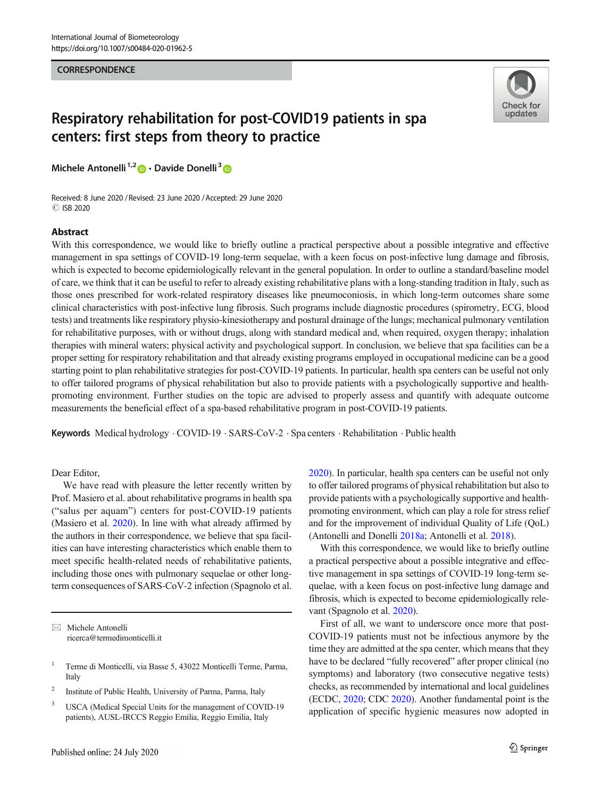#### **CORRESPONDENCE**



# Respiratory rehabilitation for post-COVID19 patients in spa centers: first steps from theory to practice

Michele Antonelli<sup>1,2</sup>  $\bullet$  · Davide Donelli<sup>3</sup>  $\bullet$ 

Received: 8 June 2020 / Revised: 23 June 2020 /Accepted: 29 June 2020 C ISB 2020

### Abstract

With this correspondence, we would like to briefly outline a practical perspective about a possible integrative and effective management in spa settings of COVID-19 long-term sequelae, with a keen focus on post-infective lung damage and fibrosis, which is expected to become epidemiologically relevant in the general population. In order to outline a standard/baseline model of care, we think that it can be useful to refer to already existing rehabilitative plans with a long-standing tradition in Italy, such as those ones prescribed for work-related respiratory diseases like pneumoconiosis, in which long-term outcomes share some clinical characteristics with post-infective lung fibrosis. Such programs include diagnostic procedures (spirometry, ECG, blood tests) and treatments like respiratory physio-kinesiotherapy and postural drainage of the lungs; mechanical pulmonary ventilation for rehabilitative purposes, with or without drugs, along with standard medical and, when required, oxygen therapy; inhalation therapies with mineral waters; physical activity and psychological support. In conclusion, we believe that spa facilities can be a proper setting for respiratory rehabilitation and that already existing programs employed in occupational medicine can be a good starting point to plan rehabilitative strategies for post-COVID-19 patients. In particular, health spa centers can be useful not only to offer tailored programs of physical rehabilitation but also to provide patients with a psychologically supportive and healthpromoting environment. Further studies on the topic are advised to properly assess and quantify with adequate outcome measurements the beneficial effect of a spa-based rehabilitative program in post-COVID-19 patients.

Keywords Medical hydrology . COVID-19 . SARS-CoV-2 . Spa centers . Rehabilitation . Public health

Dear Editor,

We have read with pleasure the letter recently written by Prof. Masiero et al. about rehabilitative programs in health spa ("salus per aquam") centers for post-COVID-19 patients (Masiero et al. [2020](#page-2-0)). In line with what already affirmed by the authors in their correspondence, we believe that spa facilities can have interesting characteristics which enable them to meet specific health-related needs of rehabilitative patients, including those ones with pulmonary sequelae or other longterm consequences of SARS-CoV-2 infection (Spagnolo et al.

 $\boxtimes$  Michele Antonelli [ricerca@termedimonticelli.it](mailto:ricerca@termedimonticelli.it)

- <sup>1</sup> Terme di Monticelli, via Basse 5, 43022 Monticelli Terme, Parma, Italy
- <sup>2</sup> Institute of Public Health, University of Parma, Parma, Italy
- <sup>3</sup> USCA (Medical Special Units for the management of COVID-19 patients), AUSL-IRCCS Reggio Emilia, Reggio Emilia, Italy

[2020\)](#page-2-0). In particular, health spa centers can be useful not only to offer tailored programs of physical rehabilitation but also to provide patients with a psychologically supportive and healthpromoting environment, which can play a role for stress relief and for the improvement of individual Quality of Life (QoL) (Antonelli and Donelli [2018a;](#page-1-0) Antonelli et al. [2018](#page-1-0)).

With this correspondence, we would like to briefly outline a practical perspective about a possible integrative and effective management in spa settings of COVID-19 long-term sequelae, with a keen focus on post-infective lung damage and fibrosis, which is expected to become epidemiologically relevant (Spagnolo et al. [2020](#page-2-0)).

First of all, we want to underscore once more that post-COVID-19 patients must not be infectious anymore by the time they are admitted at the spa center, which means that they have to be declared "fully recovered" after proper clinical (no symptoms) and laboratory (two consecutive negative tests) checks, as recommended by international and local guidelines (ECDC, [2020;](#page-1-0) CDC [2020\)](#page-1-0). Another fundamental point is the application of specific hygienic measures now adopted in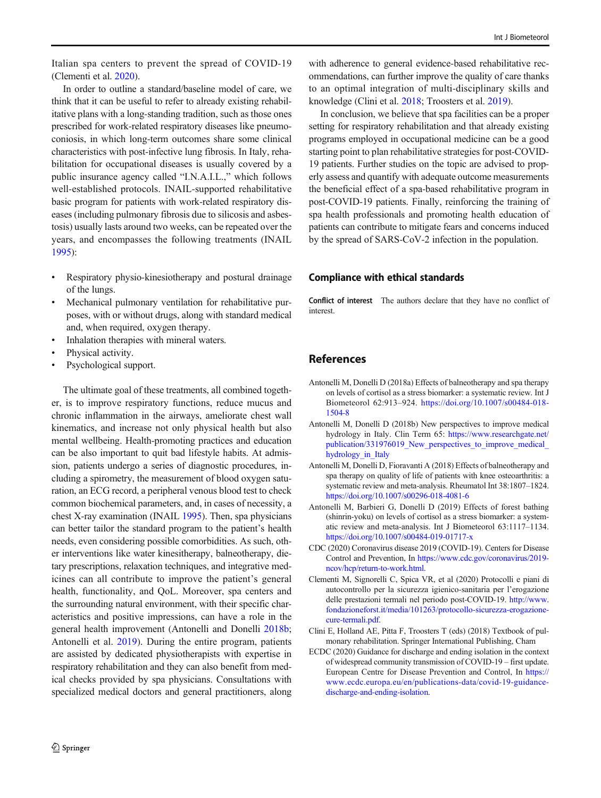<span id="page-1-0"></span>Italian spa centers to prevent the spread of COVID-19 (Clementi et al. 2020).

In order to outline a standard/baseline model of care, we think that it can be useful to refer to already existing rehabilitative plans with a long-standing tradition, such as those ones prescribed for work-related respiratory diseases like pneumoconiosis, in which long-term outcomes share some clinical characteristics with post-infective lung fibrosis. In Italy, rehabilitation for occupational diseases is usually covered by a public insurance agency called "I.N.A.I.L.," which follows well-established protocols. INAIL-supported rehabilitative basic program for patients with work-related respiratory diseases (including pulmonary fibrosis due to silicosis and asbestosis) usually lasts around two weeks, can be repeated over the years, and encompasses the following treatments (INAIL [1995\)](#page-2-0):

- & Respiratory physio-kinesiotherapy and postural drainage of the lungs.
- Mechanical pulmonary ventilation for rehabilitative purposes, with or without drugs, along with standard medical and, when required, oxygen therapy.
- Inhalation therapies with mineral waters.
- Physical activity.
- Psychological support.

The ultimate goal of these treatments, all combined together, is to improve respiratory functions, reduce mucus and chronic inflammation in the airways, ameliorate chest wall kinematics, and increase not only physical health but also mental wellbeing. Health-promoting practices and education can be also important to quit bad lifestyle habits. At admission, patients undergo a series of diagnostic procedures, including a spirometry, the measurement of blood oxygen saturation, an ECG record, a peripheral venous blood test to check common biochemical parameters, and, in cases of necessity, a chest X-ray examination (INAIL [1995](#page-2-0)). Then, spa physicians can better tailor the standard program to the patient's health needs, even considering possible comorbidities. As such, other interventions like water kinesitherapy, balneotherapy, dietary prescriptions, relaxation techniques, and integrative medicines can all contribute to improve the patient's general health, functionality, and QoL. Moreover, spa centers and the surrounding natural environment, with their specific characteristics and positive impressions, can have a role in the general health improvement (Antonelli and Donelli 2018b; Antonelli et al. 2019). During the entire program, patients are assisted by dedicated physiotherapists with expertise in respiratory rehabilitation and they can also benefit from medical checks provided by spa physicians. Consultations with specialized medical doctors and general practitioners, along

with adherence to general evidence-based rehabilitative recommendations, can further improve the quality of care thanks to an optimal integration of multi-disciplinary skills and knowledge (Clini et al. 2018; Troosters et al. [2019](#page-2-0)).

In conclusion, we believe that spa facilities can be a proper setting for respiratory rehabilitation and that already existing programs employed in occupational medicine can be a good starting point to plan rehabilitative strategies for post-COVID-19 patients. Further studies on the topic are advised to properly assess and quantify with adequate outcome measurements the beneficial effect of a spa-based rehabilitative program in post-COVID-19 patients. Finally, reinforcing the training of spa health professionals and promoting health education of patients can contribute to mitigate fears and concerns induced by the spread of SARS-CoV-2 infection in the population.

### Compliance with ethical standards

Conflict of interest The authors declare that they have no conflict of interest.

## References

- Antonelli M, Donelli D (2018a) Effects of balneotherapy and spa therapy on levels of cortisol as a stress biomarker: a systematic review. Int J Biometeorol 62:913–924. [https://doi.org/10.1007/s00484-018-](https://doi.org/10.1007/s00484-018-1504-8) [1504-8](https://doi.org/10.1007/s00484-018-1504-8)
- Antonelli M, Donelli D (2018b) New perspectives to improve medical hydrology in Italy. Clin Term 65: [https://www.researchgate.net/](https://www.researchgate.net/publication/331976019_New_perspectives_to_improve_medical_hydrology_in_Italy) [publication/331976019\\_New\\_perspectives\\_to\\_improve\\_medical\\_](https://www.researchgate.net/publication/331976019_New_perspectives_to_improve_medical_hydrology_in_Italy) hydrology in Italy
- Antonelli M, Donelli D, Fioravanti A (2018) Effects of balneotherapy and spa therapy on quality of life of patients with knee osteoarthritis: a systematic review and meta-analysis. Rheumatol Int 38:1807–1824. <https://doi.org/10.1007/s00296-018-4081-6>
- Antonelli M, Barbieri G, Donelli D (2019) Effects of forest bathing (shinrin-yoku) on levels of cortisol as a stress biomarker: a systematic review and meta-analysis. Int J Biometeorol 63:1117–1134. <https://doi.org/10.1007/s00484-019-01717-x>
- CDC (2020) Coronavirus disease 2019 (COVID-19). Centers for Disease Control and Prevention, In [https://www.cdc.gov/coronavirus/2019](https://www.cdc.gov/coronavirus/2019cov/hcp/return-o-ork.html) [ncov/hcp/return-to-work.html](https://www.cdc.gov/coronavirus/2019cov/hcp/return-o-ork.html).
- Clementi M, Signorelli C, Spica VR, et al (2020) Protocolli e piani di autocontrollo per la sicurezza igienico-sanitaria per l'erogazione delle prestazioni termali nel periodo post-COVID-19. [http://www.](http://www.fondazioneforst.it/media/101263/protocollo-icurezzarogazioneure-ermali.pdf) [fondazioneforst.it/media/101263/protocollo-sicurezza-erogazione](http://www.fondazioneforst.it/media/101263/protocollo-icurezzarogazioneure-ermali.pdf)[cure-termali.pdf](http://www.fondazioneforst.it/media/101263/protocollo-icurezzarogazioneure-ermali.pdf).
- Clini E, Holland AE, Pitta F, Troosters T (eds) (2018) Textbook of pulmonary rehabilitation. Springer International Publishing, Cham
- ECDC (2020) Guidance for discharge and ending isolation in the context of widespread community transmission of COVID-19 – first update. European Centre for Disease Prevention and Control, In [https://](https://www.ecdc.europa.eu/en/publicationsata/covid-guidanceischargendndingsolation) [www.ecdc.europa.eu/en/publications-data/covid-19-guidance](https://www.ecdc.europa.eu/en/publicationsata/covid-guidanceischargendndingsolation)[discharge-and-ending-isolation](https://www.ecdc.europa.eu/en/publicationsata/covid-guidanceischargendndingsolation).